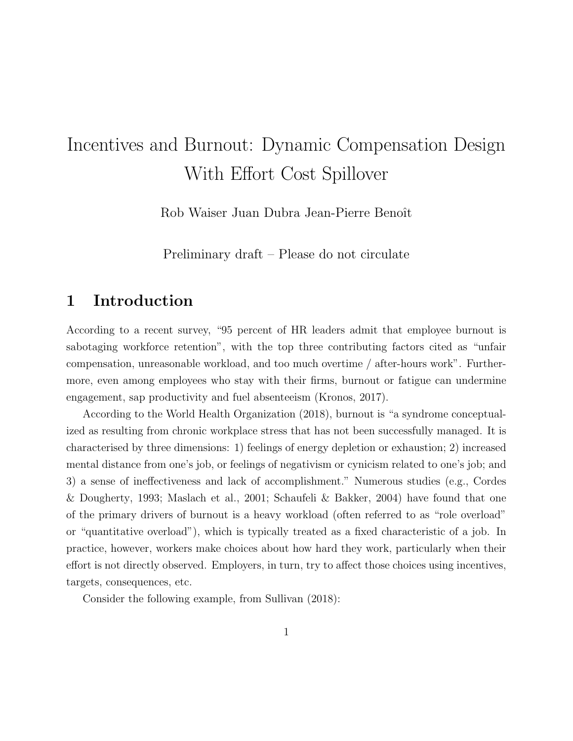# Incentives and Burnout: Dynamic Compensation Design With Effort Cost Spillover

Rob Waiser Juan Dubra Jean-Pierre Benoît

Preliminary draft – Please do not circulate

# 1 Introduction

According to a recent survey, "95 percent of HR leaders admit that employee burnout is sabotaging workforce retention", with the top three contributing factors cited as "unfair compensation, unreasonable workload, and too much overtime / after-hours work". Furthermore, even among employees who stay with their firms, burnout or fatigue can undermine engagement, sap productivity and fuel absenteeism (Kronos, 2017).

According to the World Health Organization (2018), burnout is "a syndrome conceptualized as resulting from chronic workplace stress that has not been successfully managed. It is characterised by three dimensions: 1) feelings of energy depletion or exhaustion; 2) increased mental distance from one's job, or feelings of negativism or cynicism related to one's job; and 3) a sense of ineffectiveness and lack of accomplishment." Numerous studies (e.g., Cordes & Dougherty, 1993; Maslach et al., 2001; Schaufeli & Bakker, 2004) have found that one of the primary drivers of burnout is a heavy workload (often referred to as "role overload" or "quantitative overload"), which is typically treated as a fixed characteristic of a job. In practice, however, workers make choices about how hard they work, particularly when their effort is not directly observed. Employers, in turn, try to affect those choices using incentives, targets, consequences, etc.

Consider the following example, from Sullivan (2018):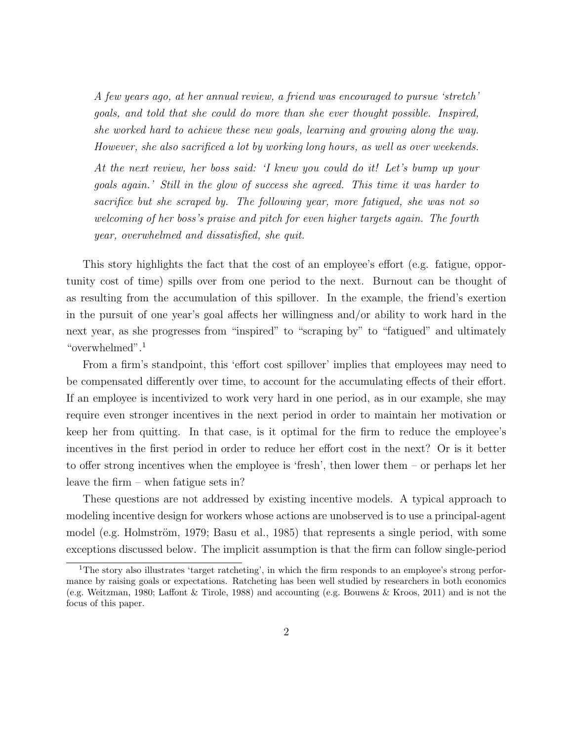A few years ago, at her annual review, a friend was encouraged to pursue 'stretch' goals, and told that she could do more than she ever thought possible. Inspired, she worked hard to achieve these new goals, learning and growing along the way. However, she also sacrificed a lot by working long hours, as well as over weekends.

At the next review, her boss said: 'I knew you could do it! Let's bump up your goals again.' Still in the glow of success she agreed. This time it was harder to sacrifice but she scraped by. The following year, more fatigued, she was not so welcoming of her boss's praise and pitch for even higher targets again. The fourth year, overwhelmed and dissatisfied, she quit.

This story highlights the fact that the cost of an employee's effort (e.g. fatigue, opportunity cost of time) spills over from one period to the next. Burnout can be thought of as resulting from the accumulation of this spillover. In the example, the friend's exertion in the pursuit of one year's goal affects her willingness and/or ability to work hard in the next year, as she progresses from "inspired" to "scraping by" to "fatigued" and ultimately "overwhelmed".<sup>1</sup>

From a firm's standpoint, this 'effort cost spillover' implies that employees may need to be compensated differently over time, to account for the accumulating effects of their effort. If an employee is incentivized to work very hard in one period, as in our example, she may require even stronger incentives in the next period in order to maintain her motivation or keep her from quitting. In that case, is it optimal for the firm to reduce the employee's incentives in the first period in order to reduce her effort cost in the next? Or is it better to offer strong incentives when the employee is 'fresh', then lower them – or perhaps let her leave the firm – when fatigue sets in?

These questions are not addressed by existing incentive models. A typical approach to modeling incentive design for workers whose actions are unobserved is to use a principal-agent model (e.g. Holmström, 1979; Basu et al., 1985) that represents a single period, with some exceptions discussed below. The implicit assumption is that the firm can follow single-period

<sup>1</sup>The story also illustrates 'target ratcheting', in which the firm responds to an employee's strong performance by raising goals or expectations. Ratcheting has been well studied by researchers in both economics (e.g. Weitzman, 1980; Laffont & Tirole, 1988) and accounting (e.g. Bouwens & Kroos, 2011) and is not the focus of this paper.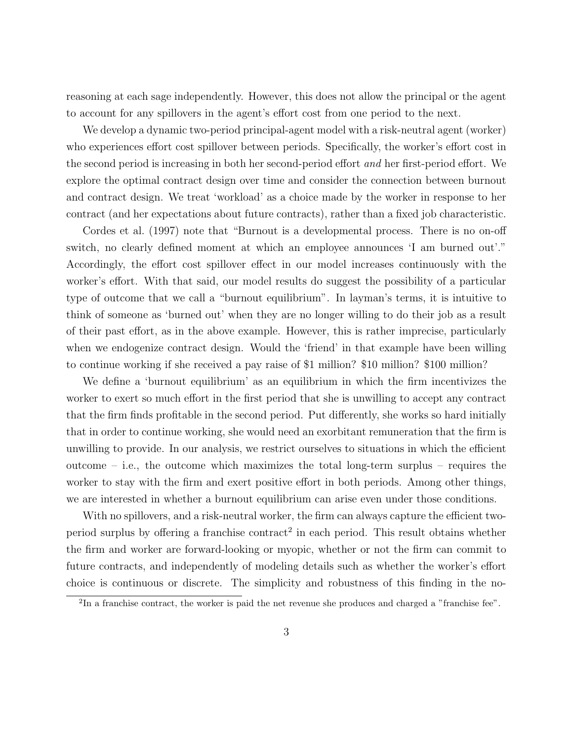reasoning at each sage independently. However, this does not allow the principal or the agent to account for any spillovers in the agent's effort cost from one period to the next.

We develop a dynamic two-period principal-agent model with a risk-neutral agent (worker) who experiences effort cost spillover between periods. Specifically, the worker's effort cost in the second period is increasing in both her second-period effort and her first-period effort. We explore the optimal contract design over time and consider the connection between burnout and contract design. We treat 'workload' as a choice made by the worker in response to her contract (and her expectations about future contracts), rather than a fixed job characteristic.

Cordes et al. (1997) note that "Burnout is a developmental process. There is no on-off switch, no clearly defined moment at which an employee announces 'I am burned out'." Accordingly, the effort cost spillover effect in our model increases continuously with the worker's effort. With that said, our model results do suggest the possibility of a particular type of outcome that we call a "burnout equilibrium". In layman's terms, it is intuitive to think of someone as 'burned out' when they are no longer willing to do their job as a result of their past effort, as in the above example. However, this is rather imprecise, particularly when we endogenize contract design. Would the 'friend' in that example have been willing to continue working if she received a pay raise of \$1 million? \$10 million? \$100 million?

We define a 'burnout equilibrium' as an equilibrium in which the firm incentivizes the worker to exert so much effort in the first period that she is unwilling to accept any contract that the firm finds profitable in the second period. Put differently, she works so hard initially that in order to continue working, she would need an exorbitant remuneration that the firm is unwilling to provide. In our analysis, we restrict ourselves to situations in which the efficient outcome – i.e., the outcome which maximizes the total long-term surplus – requires the worker to stay with the firm and exert positive effort in both periods. Among other things, we are interested in whether a burnout equilibrium can arise even under those conditions.

With no spillovers, and a risk-neutral worker, the firm can always capture the efficient twoperiod surplus by offering a franchise contract<sup>2</sup> in each period. This result obtains whether the firm and worker are forward-looking or myopic, whether or not the firm can commit to future contracts, and independently of modeling details such as whether the worker's effort choice is continuous or discrete. The simplicity and robustness of this finding in the no-

<sup>&</sup>lt;sup>2</sup>In a franchise contract, the worker is paid the net revenue she produces and charged a "franchise fee".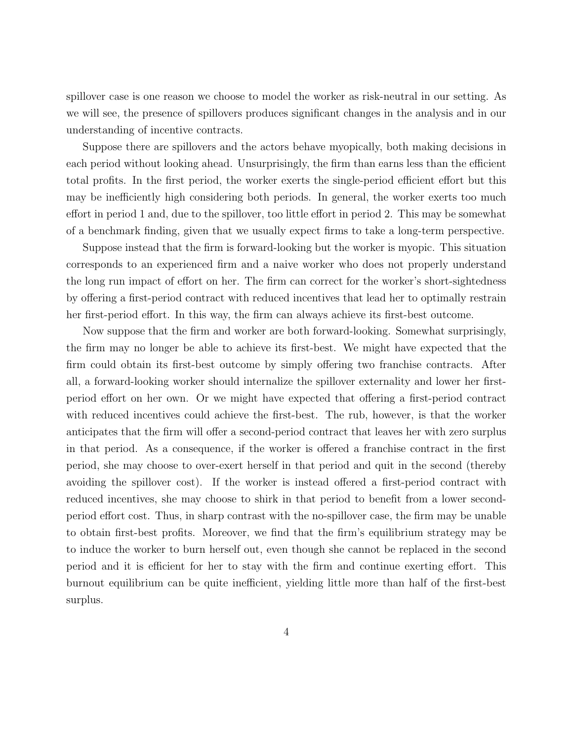spillover case is one reason we choose to model the worker as risk-neutral in our setting. As we will see, the presence of spillovers produces significant changes in the analysis and in our understanding of incentive contracts.

Suppose there are spillovers and the actors behave myopically, both making decisions in each period without looking ahead. Unsurprisingly, the firm than earns less than the efficient total profits. In the first period, the worker exerts the single-period efficient effort but this may be inefficiently high considering both periods. In general, the worker exerts too much effort in period 1 and, due to the spillover, too little effort in period 2. This may be somewhat of a benchmark finding, given that we usually expect firms to take a long-term perspective.

Suppose instead that the firm is forward-looking but the worker is myopic. This situation corresponds to an experienced firm and a naive worker who does not properly understand the long run impact of effort on her. The firm can correct for the worker's short-sightedness by offering a first-period contract with reduced incentives that lead her to optimally restrain her first-period effort. In this way, the firm can always achieve its first-best outcome.

Now suppose that the firm and worker are both forward-looking. Somewhat surprisingly, the firm may no longer be able to achieve its first-best. We might have expected that the firm could obtain its first-best outcome by simply offering two franchise contracts. After all, a forward-looking worker should internalize the spillover externality and lower her firstperiod effort on her own. Or we might have expected that offering a first-period contract with reduced incentives could achieve the first-best. The rub, however, is that the worker anticipates that the firm will offer a second-period contract that leaves her with zero surplus in that period. As a consequence, if the worker is offered a franchise contract in the first period, she may choose to over-exert herself in that period and quit in the second (thereby avoiding the spillover cost). If the worker is instead offered a first-period contract with reduced incentives, she may choose to shirk in that period to benefit from a lower secondperiod effort cost. Thus, in sharp contrast with the no-spillover case, the firm may be unable to obtain first-best profits. Moreover, we find that the firm's equilibrium strategy may be to induce the worker to burn herself out, even though she cannot be replaced in the second period and it is efficient for her to stay with the firm and continue exerting effort. This burnout equilibrium can be quite inefficient, yielding little more than half of the first-best surplus.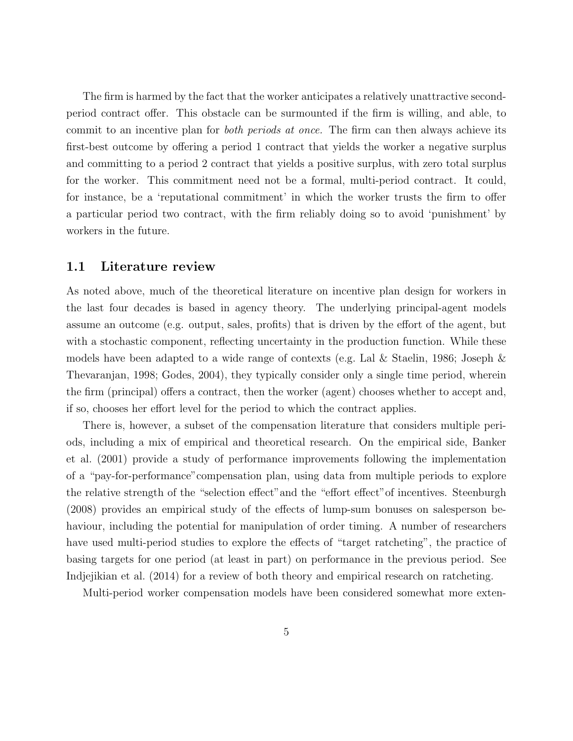The firm is harmed by the fact that the worker anticipates a relatively unattractive secondperiod contract offer. This obstacle can be surmounted if the firm is willing, and able, to commit to an incentive plan for *both periods at once*. The firm can then always achieve its first-best outcome by offering a period 1 contract that yields the worker a negative surplus and committing to a period 2 contract that yields a positive surplus, with zero total surplus for the worker. This commitment need not be a formal, multi-period contract. It could, for instance, be a 'reputational commitment' in which the worker trusts the firm to offer a particular period two contract, with the firm reliably doing so to avoid 'punishment' by workers in the future.

### 1.1 Literature review

As noted above, much of the theoretical literature on incentive plan design for workers in the last four decades is based in agency theory. The underlying principal-agent models assume an outcome (e.g. output, sales, profits) that is driven by the effort of the agent, but with a stochastic component, reflecting uncertainty in the production function. While these models have been adapted to a wide range of contexts (e.g. Lal & Staelin, 1986; Joseph & Thevaranjan, 1998; Godes, 2004), they typically consider only a single time period, wherein the firm (principal) offers a contract, then the worker (agent) chooses whether to accept and, if so, chooses her effort level for the period to which the contract applies.

There is, however, a subset of the compensation literature that considers multiple periods, including a mix of empirical and theoretical research. On the empirical side, Banker et al. (2001) provide a study of performance improvements following the implementation of a "pay-for-performance"compensation plan, using data from multiple periods to explore the relative strength of the "selection effect"and the "effort effect"of incentives. Steenburgh (2008) provides an empirical study of the effects of lump-sum bonuses on salesperson behaviour, including the potential for manipulation of order timing. A number of researchers have used multi-period studies to explore the effects of "target ratcheting", the practice of basing targets for one period (at least in part) on performance in the previous period. See Indjejikian et al. (2014) for a review of both theory and empirical research on ratcheting.

Multi-period worker compensation models have been considered somewhat more exten-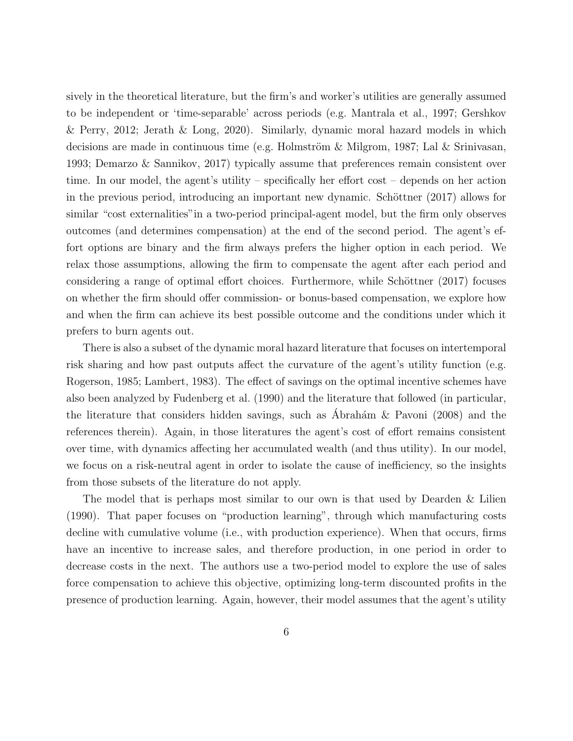sively in the theoretical literature, but the firm's and worker's utilities are generally assumed to be independent or 'time-separable' across periods (e.g. Mantrala et al., 1997; Gershkov & Perry, 2012; Jerath & Long, 2020). Similarly, dynamic moral hazard models in which decisions are made in continuous time (e.g. Holmström & Milgrom, 1987; Lal & Srinivasan, 1993; Demarzo & Sannikov, 2017) typically assume that preferences remain consistent over time. In our model, the agent's utility – specifically her effort cost – depends on her action in the previous period, introducing an important new dynamic. Schöttner (2017) allows for similar "cost externalities"in a two-period principal-agent model, but the firm only observes outcomes (and determines compensation) at the end of the second period. The agent's effort options are binary and the firm always prefers the higher option in each period. We relax those assumptions, allowing the firm to compensate the agent after each period and considering a range of optimal effort choices. Furthermore, while Schöttner (2017) focuses on whether the firm should offer commission- or bonus-based compensation, we explore how and when the firm can achieve its best possible outcome and the conditions under which it prefers to burn agents out.

There is also a subset of the dynamic moral hazard literature that focuses on intertemporal risk sharing and how past outputs affect the curvature of the agent's utility function (e.g. Rogerson, 1985; Lambert, 1983). The effect of savings on the optimal incentive schemes have also been analyzed by Fudenberg et al. (1990) and the literature that followed (in particular, the literature that considers hidden savings, such as Abrahám & Pavoni (2008) and the references therein). Again, in those literatures the agent's cost of effort remains consistent over time, with dynamics affecting her accumulated wealth (and thus utility). In our model, we focus on a risk-neutral agent in order to isolate the cause of inefficiency, so the insights from those subsets of the literature do not apply.

The model that is perhaps most similar to our own is that used by Dearden  $&$  Lilien (1990). That paper focuses on "production learning", through which manufacturing costs decline with cumulative volume (i.e., with production experience). When that occurs, firms have an incentive to increase sales, and therefore production, in one period in order to decrease costs in the next. The authors use a two-period model to explore the use of sales force compensation to achieve this objective, optimizing long-term discounted profits in the presence of production learning. Again, however, their model assumes that the agent's utility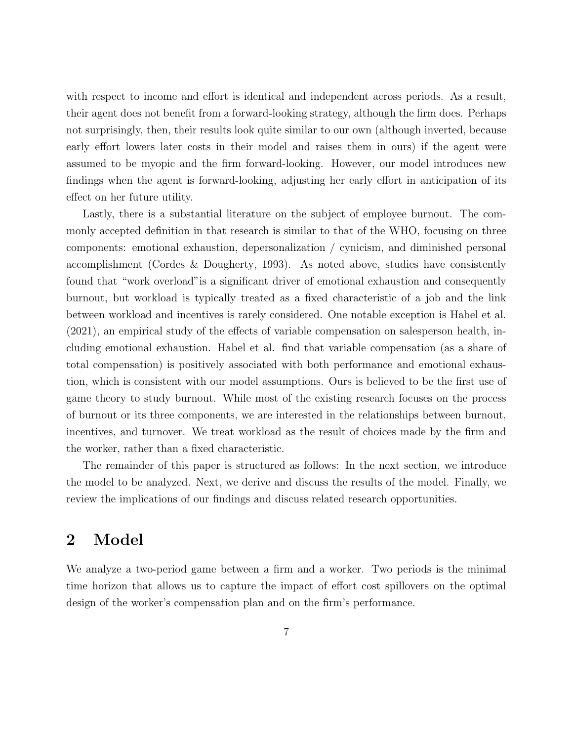with respect to income and effort is identical and independent across periods. As a result, their agent does not benefit from a forward-looking strategy, although the firm does. Perhaps not surprisingly, then, their results look quite similar to our own (although inverted, because early effort lowers later costs in their model and raises them in ours) if the agent were assumed to be myopic and the firm forward-looking. However, our model introduces new findings when the agent is forward-looking, adjusting her early effort in anticipation of its effect on her future utility.

Lastly, there is a substantial literature on the subject of employee burnout. The commonly accepted definition in that research is similar to that of the WHO, focusing on three components: emotional exhaustion, depersonalization / cynicism, and diminished personal accomplishment (Cordes & Dougherty, 1993). As noted above, studies have consistently found that "work overload"is a significant driver of emotional exhaustion and consequently burnout, but workload is typically treated as a fixed characteristic of a job and the link between workload and incentives is rarely considered. One notable exception is Habel et al. (2021), an empirical study of the effects of variable compensation on salesperson health, including emotional exhaustion. Habel et al. find that variable compensation (as a share of total compensation) is positively associated with both performance and emotional exhaustion, which is consistent with our model assumptions. Ours is believed to be the first use of game theory to study burnout. While most of the existing research focuses on the process of burnout or its three components, we are interested in the relationships between burnout, incentives, and turnover. We treat workload as the result of choices made by the firm and the worker, rather than a fixed characteristic.

The remainder of this paper is structured as follows: In the next section, we introduce the model to be analyzed. Next, we derive and discuss the results of the model. Finally, we review the implications of our findings and discuss related research opportunities.

# 2 Model

We analyze a two-period game between a firm and a worker. Two periods is the minimal time horizon that allows us to capture the impact of effort cost spillovers on the optimal design of the worker's compensation plan and on the firm's performance.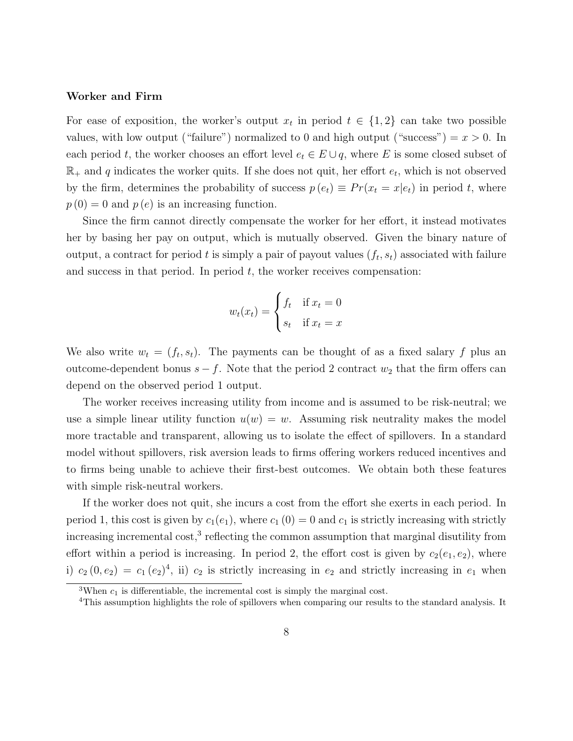#### Worker and Firm

For ease of exposition, the worker's output  $x_t$  in period  $t \in \{1,2\}$  can take two possible values, with low output ("failure") normalized to 0 and high output ("success") =  $x > 0$ . In each period t, the worker chooses an effort level  $e_t \in E \cup q$ , where E is some closed subset of  $\mathbb{R}_+$  and q indicates the worker quits. If she does not quit, her effort  $e_t$ , which is not observed by the firm, determines the probability of success  $p(e_t) \equiv Pr(x_t = x|e_t)$  in period t, where  $p(0) = 0$  and  $p(e)$  is an increasing function.

Since the firm cannot directly compensate the worker for her effort, it instead motivates her by basing her pay on output, which is mutually observed. Given the binary nature of output, a contract for period t is simply a pair of payout values  $(f_t, s_t)$  associated with failure and success in that period. In period  $t$ , the worker receives compensation:

$$
w_t(x_t) = \begin{cases} f_t & \text{if } x_t = 0\\ s_t & \text{if } x_t = x \end{cases}
$$

We also write  $w_t = (f_t, s_t)$ . The payments can be thought of as a fixed salary f plus an outcome-dependent bonus  $s - f$ . Note that the period 2 contract  $w_2$  that the firm offers can depend on the observed period 1 output.

The worker receives increasing utility from income and is assumed to be risk-neutral; we use a simple linear utility function  $u(w) = w$ . Assuming risk neutrality makes the model more tractable and transparent, allowing us to isolate the effect of spillovers. In a standard model without spillovers, risk aversion leads to firms offering workers reduced incentives and to firms being unable to achieve their first-best outcomes. We obtain both these features with simple risk-neutral workers.

If the worker does not quit, she incurs a cost from the effort she exerts in each period. In period 1, this cost is given by  $c_1(e_1)$ , where  $c_1(0) = 0$  and  $c_1$  is strictly increasing with strictly increasing incremental cost,<sup>3</sup> reflecting the common assumption that marginal disutility from effort within a period is increasing. In period 2, the effort cost is given by  $c_2(e_1, e_2)$ , where i)  $c_2(0, e_2) = c_1 (e_2)^4$ , ii)  $c_2$  is strictly increasing in  $e_2$  and strictly increasing in  $e_1$  when

<sup>&</sup>lt;sup>3</sup>When  $c_1$  is differentiable, the incremental cost is simply the marginal cost.

<sup>&</sup>lt;sup>4</sup>This assumption highlights the role of spillovers when comparing our results to the standard analysis. It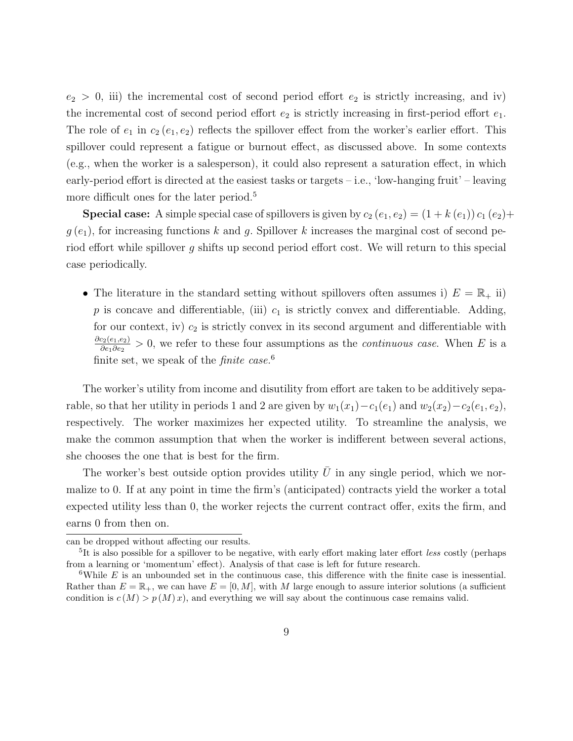$e_2 > 0$ , iii) the incremental cost of second period effort  $e_2$  is strictly increasing, and iv) the incremental cost of second period effort  $e_2$  is strictly increasing in first-period effort  $e_1$ . The role of  $e_1$  in  $c_2$  ( $e_1$ ,  $e_2$ ) reflects the spillover effect from the worker's earlier effort. This spillover could represent a fatigue or burnout effect, as discussed above. In some contexts (e.g., when the worker is a salesperson), it could also represent a saturation effect, in which early-period effort is directed at the easiest tasks or targets – i.e., 'low-hanging fruit' – leaving more difficult ones for the later period.<sup>5</sup>

**Special case:** A simple special case of spillovers is given by  $c_2(e_1, e_2) = (1 + k(e_1)) c_1(e_2) +$  $g(e_1)$ , for increasing functions k and g. Spillover k increases the marginal cost of second period effort while spillover g shifts up second period effort cost. We will return to this special case periodically.

• The literature in the standard setting without spillovers often assumes i)  $E = \mathbb{R}_+$  ii) p is concave and differentiable, (iii)  $c_1$  is strictly convex and differentiable. Adding, for our context, iv)  $c_2$  is strictly convex in its second argument and differentiable with  $\partial c_2(e_1,e_2)$  $\frac{c_2(e_1,e_2)}{\partial e_1 \partial e_2} > 0$ , we refer to these four assumptions as the *continuous case*. When E is a finite set, we speak of the *finite case*.<sup>6</sup>

The worker's utility from income and disutility from effort are taken to be additively separable, so that her utility in periods 1 and 2 are given by  $w_1(x_1) - c_1(e_1)$  and  $w_2(x_2) - c_2(e_1, e_2)$ , respectively. The worker maximizes her expected utility. To streamline the analysis, we make the common assumption that when the worker is indifferent between several actions, she chooses the one that is best for the firm.

The worker's best outside option provides utility  $\bar{U}$  in any single period, which we normalize to 0. If at any point in time the firm's (anticipated) contracts yield the worker a total expected utility less than 0, the worker rejects the current contract offer, exits the firm, and earns 0 from then on.

can be dropped without affecting our results.

<sup>&</sup>lt;sup>5</sup>It is also possible for a spillover to be negative, with early effort making later effort less costly (perhaps from a learning or 'momentum' effect). Analysis of that case is left for future research.

<sup>&</sup>lt;sup>6</sup>While  $E$  is an unbounded set in the continuous case, this difference with the finite case is inessential. Rather than  $E = \mathbb{R}_+$ , we can have  $E = [0, M]$ , with M large enough to assure interior solutions (a sufficient condition is  $c(M) > p(M)x$ , and everything we will say about the continuous case remains valid.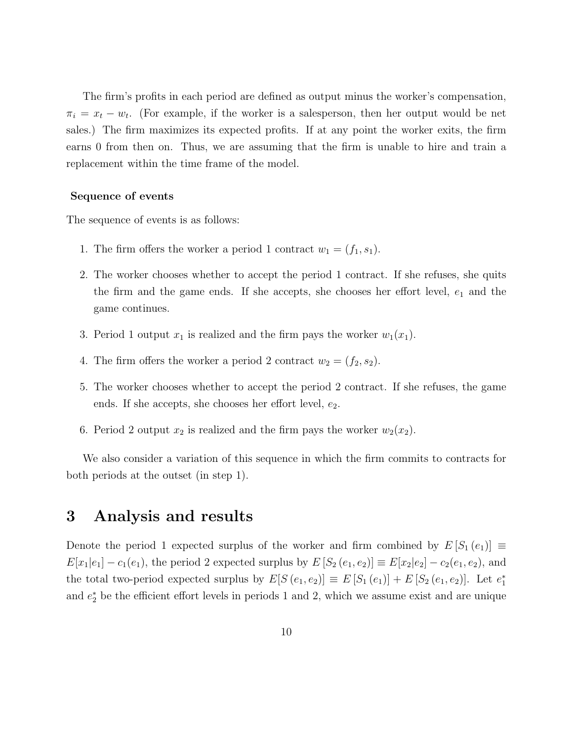The firm's profits in each period are defined as output minus the worker's compensation,  $\pi_i = x_t - w_t$ . (For example, if the worker is a salesperson, then her output would be net sales.) The firm maximizes its expected profits. If at any point the worker exits, the firm earns 0 from then on. Thus, we are assuming that the firm is unable to hire and train a replacement within the time frame of the model.

### Sequence of events

The sequence of events is as follows:

- 1. The firm offers the worker a period 1 contract  $w_1 = (f_1, s_1)$ .
- 2. The worker chooses whether to accept the period 1 contract. If she refuses, she quits the firm and the game ends. If she accepts, she chooses her effort level,  $e_1$  and the game continues.
- 3. Period 1 output  $x_1$  is realized and the firm pays the worker  $w_1(x_1)$ .
- 4. The firm offers the worker a period 2 contract  $w_2 = (f_2, s_2)$ .
- 5. The worker chooses whether to accept the period 2 contract. If she refuses, the game ends. If she accepts, she chooses her effort level,  $e_2$ .
- 6. Period 2 output  $x_2$  is realized and the firm pays the worker  $w_2(x_2)$ .

We also consider a variation of this sequence in which the firm commits to contracts for both periods at the outset (in step 1).

# 3 Analysis and results

Denote the period 1 expected surplus of the worker and firm combined by  $E[S_1(e_1)] \equiv$  $E[x_1|e_1] - c_1(e_1)$ , the period 2 expected surplus by  $E[S_2(e_1, e_2)] \equiv E[x_2|e_2] - c_2(e_1, e_2)$ , and the total two-period expected surplus by  $E[S(e_1, e_2)] \equiv E[S_1(e_1)] + E[S_2(e_1, e_2)]$ . Let  $e_1^*$ and  $e_2^*$  be the efficient effort levels in periods 1 and 2, which we assume exist and are unique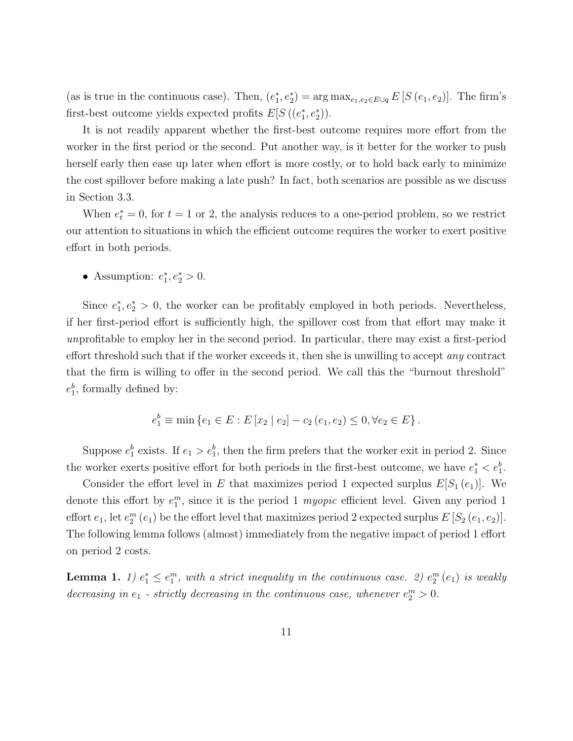(as is true in the continuous case). Then,  $(e_1^*, e_2^*) = \arg \max_{e_1, e_2 \in E \cup q} E[S(e_1, e_2)]$ . The firm's first-best outcome yields expected profits  $E[S((e_1^*, e_2^*))]$ .

It is not readily apparent whether the first-best outcome requires more effort from the worker in the first period or the second. Put another way, is it better for the worker to push herself early then ease up later when effort is more costly, or to hold back early to minimize the cost spillover before making a late push? In fact, both scenarios are possible as we discuss in Section 3.3.

When  $e_t^* = 0$ , for  $t = 1$  or 2, the analysis reduces to a one-period problem, so we restrict our attention to situations in which the efficient outcome requires the worker to exert positive effort in both periods.

• Assumption:  $e_1^*, e_2^* > 0$ .

Since  $e_1^*, e_2^* > 0$ , the worker can be profitably employed in both periods. Nevertheless, if her first-period effort is sufficiently high, the spillover cost from that effort may make it unprofitable to employ her in the second period. In particular, there may exist a first-period effort threshold such that if the worker exceeds it, then she is unwilling to accept *any* contract that the firm is willing to offer in the second period. We call this the "burnout threshold"  $e_1^b$ , formally defined by:

$$
e_1^b \equiv \min \left\{ e_1 \in E : E \left[ x_2 \mid e_2 \right] - c_2 \left( e_1, e_2 \right) \le 0, \forall e_2 \in E \right\}.
$$

Suppose  $e_1^b$  exists. If  $e_1 > e_1^b$ , then the firm prefers that the worker exit in period 2. Since the worker exerts positive effort for both periods in the first-best outcome, we have  $e_1^* < e_1^b$ .

Consider the effort level in E that maximizes period 1 expected surplus  $E[S_1(e_1)]$ . We denote this effort by  $e_1^m$ , since it is the period 1 *myopic* efficient level. Given any period 1 effort  $e_1$ , let  $e_2^m$   $(e_1)$  be the effort level that maximizes period 2 expected surplus  $E[S_2(e_1, e_2)].$ The following lemma follows (almost) immediately from the negative impact of period 1 effort on period 2 costs.

**Lemma 1.** 1)  $e_1^* \leq e_1^m$ , with a strict inequality in the continuous case. 2)  $e_2^m$  (e<sub>1</sub>) is weakly decreasing in  $e_1$  - strictly decreasing in the continuous case, whenever  $e_2^m > 0$ .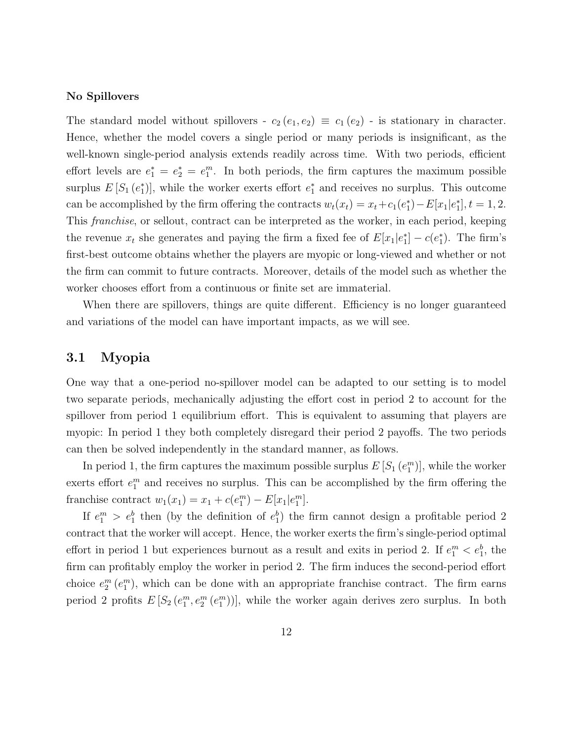### No Spillovers

The standard model without spillovers -  $c_2(e_1, e_2) \equiv c_1(e_2)$  - is stationary in character. Hence, whether the model covers a single period or many periods is insignificant, as the well-known single-period analysis extends readily across time. With two periods, efficient effort levels are  $e_1^* = e_2^* = e_1^m$ . In both periods, the firm captures the maximum possible surplus  $E[S_1(e_1^*)]$ , while the worker exerts effort  $e_1^*$  and receives no surplus. This outcome can be accomplished by the firm offering the contracts  $w_t(x_t) = x_t + c_1(e_1^*) - E[x_1|e_1^*], t = 1, 2$ . This franchise, or sellout, contract can be interpreted as the worker, in each period, keeping the revenue  $x_t$  she generates and paying the firm a fixed fee of  $E[x_1|e_1^*]-c(e_1^*)$ . The firm's first-best outcome obtains whether the players are myopic or long-viewed and whether or not the firm can commit to future contracts. Moreover, details of the model such as whether the worker chooses effort from a continuous or finite set are immaterial.

When there are spillovers, things are quite different. Efficiency is no longer guaranteed and variations of the model can have important impacts, as we will see.

### 3.1 Myopia

One way that a one-period no-spillover model can be adapted to our setting is to model two separate periods, mechanically adjusting the effort cost in period 2 to account for the spillover from period 1 equilibrium effort. This is equivalent to assuming that players are myopic: In period 1 they both completely disregard their period 2 payoffs. The two periods can then be solved independently in the standard manner, as follows.

In period 1, the firm captures the maximum possible surplus  $E[S_1(e_1^m)]$ , while the worker exerts effort  $e_1^m$  and receives no surplus. This can be accomplished by the firm offering the franchise contract  $w_1(x_1) = x_1 + c(e_1^m) - E[x_1|e_1^m]$ .

If  $e_1^m > e_1^b$  then (by the definition of  $e_1^b$ ) the firm cannot design a profitable period 2 contract that the worker will accept. Hence, the worker exerts the firm's single-period optimal effort in period 1 but experiences burnout as a result and exits in period 2. If  $e_1^m < e_1^b$ , the firm can profitably employ the worker in period 2. The firm induces the second-period effort choice  $e_2^m(e_1^m)$ , which can be done with an appropriate franchise contract. The firm earns period 2 profits  $E[S_2(e_1^m, e_2^m(e_1^m))]$ , while the worker again derives zero surplus. In both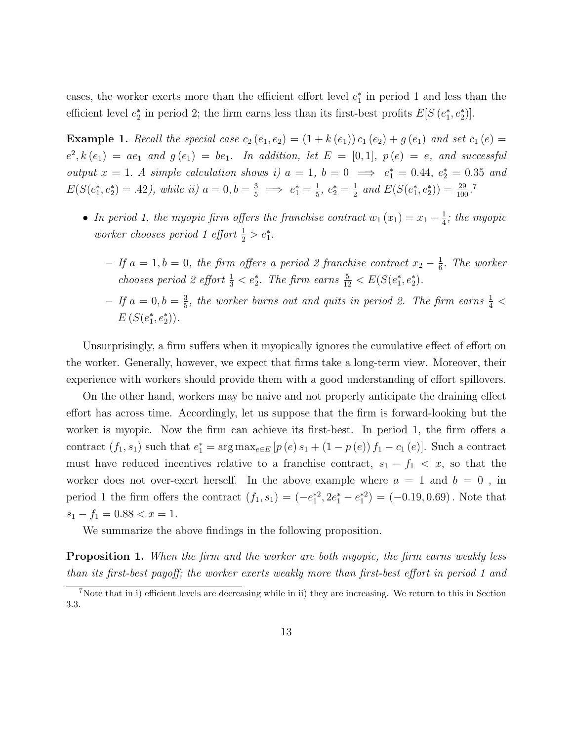cases, the worker exerts more than the efficient effort level  $e_1^*$  in period 1 and less than the efficient level  $e_2^*$  in period 2; the firm earns less than its first-best profits  $E[S(e_1^*, e_2^*)]$ .

**Example 1.** Recall the special case  $c_2(e_1, e_2) = (1 + k(e_1)) c_1(e_2) + g(e_1)$  and set  $c_1(e) =$  $e^2, k(e_1) = ae_1$  and  $g(e_1) = be_1$ . In addition, let  $E = [0, 1]$ ,  $p(e) = e$ , and successful output  $x = 1$ . A simple calculation shows i)  $a = 1$ ,  $b = 0 \implies e_1^* = 0.44$ ,  $e_2^* = 0.35$  and  $E(S(e_1^*, e_2^*) = .42)$ , while ii)  $a = 0, b = \frac{3}{5} \implies e_1^* = \frac{1}{5}$  $\frac{1}{5}, e_2^* = \frac{1}{2}$  $\frac{1}{2}$  and  $E(S(e_1^*, e_2^*)) = \frac{29}{100}$ .<sup>7</sup>

- In period 1, the myopic firm offers the franchise contract  $w_1(x_1) = x_1 \frac{1}{4}$  $\frac{1}{4}$ ; the myopic worker chooses period 1 effort  $\frac{1}{2} > e_1^*$ .
	- − If  $a = 1, b = 0$ , the firm offers a period 2 franchise contract  $x_2 \frac{1}{6}$  $\frac{1}{6}$ . The worker chooses period 2 effort  $\frac{1}{3} < e_2^*$ . The firm earns  $\frac{5}{12} < E(S(e_1^*, e_2^*)$ .
	- $-If a = 0, b = \frac{3}{5}$  $\frac{3}{5}$ , the worker burns out and quits in period 2. The firm earns  $\frac{1}{4}$  <  $E(S(e_1^*, e_2^*)).$

Unsurprisingly, a firm suffers when it myopically ignores the cumulative effect of effort on the worker. Generally, however, we expect that firms take a long-term view. Moreover, their experience with workers should provide them with a good understanding of effort spillovers.

On the other hand, workers may be naive and not properly anticipate the draining effect effort has across time. Accordingly, let us suppose that the firm is forward-looking but the worker is myopic. Now the firm can achieve its first-best. In period 1, the firm offers a contract  $(f_1, s_1)$  such that  $e_1^* = \arg \max_{e \in E} [p(e) s_1 + (1 - p(e)) f_1 - c_1(e)]$ . Such a contract must have reduced incentives relative to a franchise contract,  $s_1 - f_1 < x$ , so that the worker does not over-exert herself. In the above example where  $a = 1$  and  $b = 0$ , in period 1 the firm offers the contract  $(f_1, s_1) = (-e_1^{*2}, 2e_1^* - e_1^{*2}) = (-0.19, 0.69)$ . Note that  $s_1 - f_1 = 0.88 < x = 1.$ 

We summarize the above findings in the following proposition.

**Proposition 1.** When the firm and the worker are both myopic, the firm earns weakly less than its first-best payoff; the worker exerts weakly more than first-best effort in period 1 and

<sup>7</sup>Note that in i) efficient levels are decreasing while in ii) they are increasing. We return to this in Section 3.3.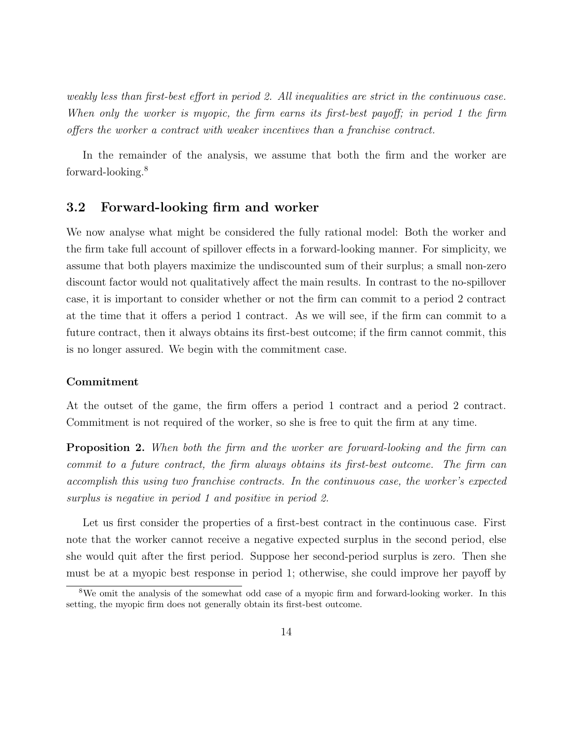weakly less than first-best effort in period 2. All inequalities are strict in the continuous case. When only the worker is myopic, the firm earns its first-best payoff; in period 1 the firm offers the worker a contract with weaker incentives than a franchise contract.

In the remainder of the analysis, we assume that both the firm and the worker are forward-looking.<sup>8</sup>

## 3.2 Forward-looking firm and worker

We now analyse what might be considered the fully rational model: Both the worker and the firm take full account of spillover effects in a forward-looking manner. For simplicity, we assume that both players maximize the undiscounted sum of their surplus; a small non-zero discount factor would not qualitatively affect the main results. In contrast to the no-spillover case, it is important to consider whether or not the firm can commit to a period 2 contract at the time that it offers a period 1 contract. As we will see, if the firm can commit to a future contract, then it always obtains its first-best outcome; if the firm cannot commit, this is no longer assured. We begin with the commitment case.

### Commitment

At the outset of the game, the firm offers a period 1 contract and a period 2 contract. Commitment is not required of the worker, so she is free to quit the firm at any time.

**Proposition 2.** When both the firm and the worker are forward-looking and the firm can commit to a future contract, the firm always obtains its first-best outcome. The firm can accomplish this using two franchise contracts. In the continuous case, the worker's expected surplus is negative in period 1 and positive in period 2.

Let us first consider the properties of a first-best contract in the continuous case. First note that the worker cannot receive a negative expected surplus in the second period, else she would quit after the first period. Suppose her second-period surplus is zero. Then she must be at a myopic best response in period 1; otherwise, she could improve her payoff by

<sup>&</sup>lt;sup>8</sup>We omit the analysis of the somewhat odd case of a myopic firm and forward-looking worker. In this setting, the myopic firm does not generally obtain its first-best outcome.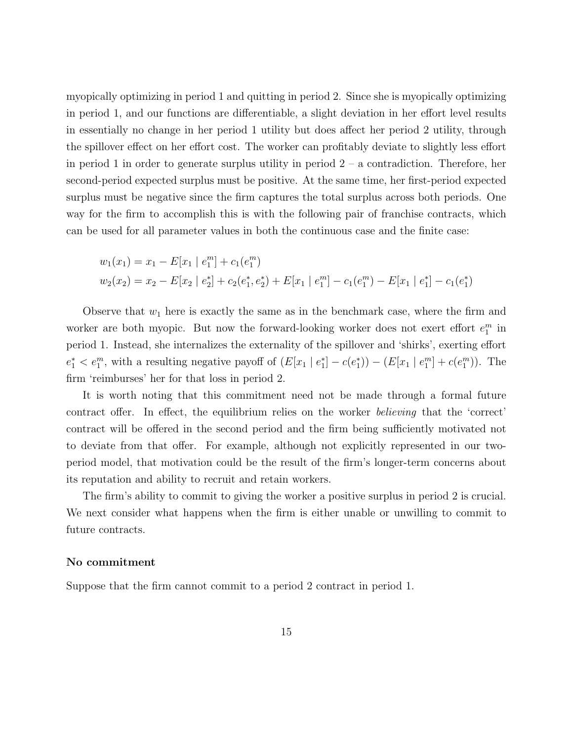myopically optimizing in period 1 and quitting in period 2. Since she is myopically optimizing in period 1, and our functions are differentiable, a slight deviation in her effort level results in essentially no change in her period 1 utility but does affect her period 2 utility, through the spillover effect on her effort cost. The worker can profitably deviate to slightly less effort in period 1 in order to generate surplus utility in period  $2 - a$  contradiction. Therefore, her second-period expected surplus must be positive. At the same time, her first-period expected surplus must be negative since the firm captures the total surplus across both periods. One way for the firm to accomplish this is with the following pair of franchise contracts, which can be used for all parameter values in both the continuous case and the finite case:

$$
w_1(x_1) = x_1 - E[x_1 | e_1^m] + c_1(e_1^m)
$$
  

$$
w_2(x_2) = x_2 - E[x_2 | e_2^*] + c_2(e_1^*, e_2^*) + E[x_1 | e_1^m] - c_1(e_1^m) - E[x_1 | e_1^*] - c_1(e_1^*)
$$

Observe that  $w_1$  here is exactly the same as in the benchmark case, where the firm and worker are both myopic. But now the forward-looking worker does not exert effort  $e_1^m$  in period 1. Instead, she internalizes the externality of the spillover and 'shirks', exerting effort  $e_1^* < e_1^m$ , with a resulting negative payoff of  $(E[x_1 | e_1^*] - c(e_1^*)) - (E[x_1 | e_1^m] + c(e_1^m))$ . The firm 'reimburses' her for that loss in period 2.

It is worth noting that this commitment need not be made through a formal future contract offer. In effect, the equilibrium relies on the worker believing that the 'correct' contract will be offered in the second period and the firm being sufficiently motivated not to deviate from that offer. For example, although not explicitly represented in our twoperiod model, that motivation could be the result of the firm's longer-term concerns about its reputation and ability to recruit and retain workers.

The firm's ability to commit to giving the worker a positive surplus in period 2 is crucial. We next consider what happens when the firm is either unable or unwilling to commit to future contracts.

#### No commitment

Suppose that the firm cannot commit to a period 2 contract in period 1.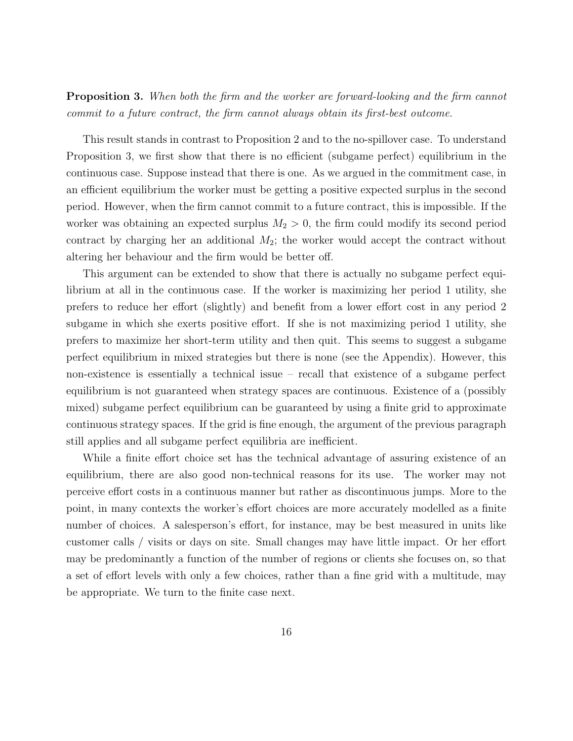**Proposition 3.** When both the firm and the worker are forward-looking and the firm cannot commit to a future contract, the firm cannot always obtain its first-best outcome.

This result stands in contrast to Proposition 2 and to the no-spillover case. To understand Proposition 3, we first show that there is no efficient (subgame perfect) equilibrium in the continuous case. Suppose instead that there is one. As we argued in the commitment case, in an efficient equilibrium the worker must be getting a positive expected surplus in the second period. However, when the firm cannot commit to a future contract, this is impossible. If the worker was obtaining an expected surplus  $M_2 > 0$ , the firm could modify its second period contract by charging her an additional  $M_2$ ; the worker would accept the contract without altering her behaviour and the firm would be better off.

This argument can be extended to show that there is actually no subgame perfect equilibrium at all in the continuous case. If the worker is maximizing her period 1 utility, she prefers to reduce her effort (slightly) and benefit from a lower effort cost in any period 2 subgame in which she exerts positive effort. If she is not maximizing period 1 utility, she prefers to maximize her short-term utility and then quit. This seems to suggest a subgame perfect equilibrium in mixed strategies but there is none (see the Appendix). However, this non-existence is essentially a technical issue – recall that existence of a subgame perfect equilibrium is not guaranteed when strategy spaces are continuous. Existence of a (possibly mixed) subgame perfect equilibrium can be guaranteed by using a finite grid to approximate continuous strategy spaces. If the grid is fine enough, the argument of the previous paragraph still applies and all subgame perfect equilibria are inefficient.

While a finite effort choice set has the technical advantage of assuring existence of an equilibrium, there are also good non-technical reasons for its use. The worker may not perceive effort costs in a continuous manner but rather as discontinuous jumps. More to the point, in many contexts the worker's effort choices are more accurately modelled as a finite number of choices. A salesperson's effort, for instance, may be best measured in units like customer calls / visits or days on site. Small changes may have little impact. Or her effort may be predominantly a function of the number of regions or clients she focuses on, so that a set of effort levels with only a few choices, rather than a fine grid with a multitude, may be appropriate. We turn to the finite case next.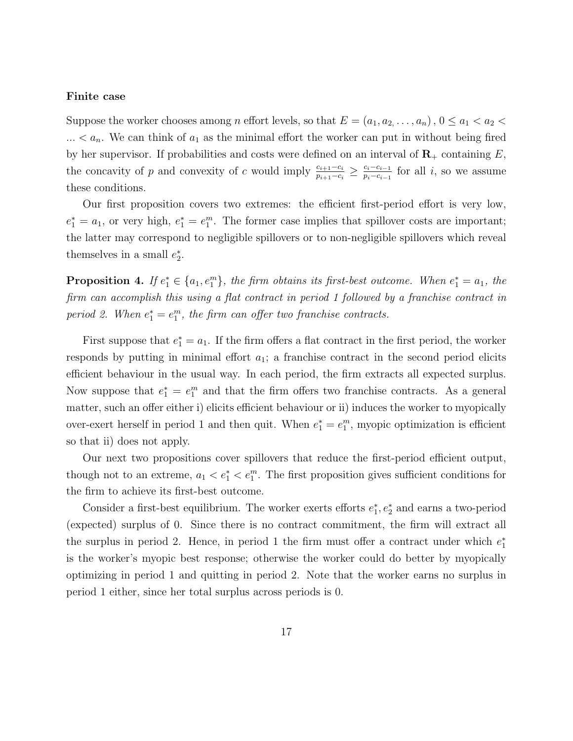#### Finite case

Suppose the worker chooses among n effort levels, so that  $E = (a_1, a_2, \ldots, a_n)$ ,  $0 \le a_1 < a_2 <$  $\ldots < a_n$ . We can think of  $a_1$  as the minimal effort the worker can put in without being fired by her supervisor. If probabilities and costs were defined on an interval of  $\mathbf{R}_{+}$  containing E, the concavity of p and convexity of c would imply  $\frac{c_{i+1}-c_i}{p_{i+1}-c_i} \geq \frac{c_i-c_{i-1}}{p_i-c_{i-1}}$  $\frac{c_i-c_{i-1}}{p_i-c_{i-1}}$  for all *i*, so we assume these conditions.

Our first proposition covers two extremes: the efficient first-period effort is very low,  $e_1^* = a_1$ , or very high,  $e_1^* = e_1^m$ . The former case implies that spillover costs are important; the latter may correspond to negligible spillovers or to non-negligible spillovers which reveal themselves in a small  $e_2^*$ .

**Proposition 4.** If  $e_1^* \in \{a_1, e_1^m\}$ , the firm obtains its first-best outcome. When  $e_1^* = a_1$ , the firm can accomplish this using a flat contract in period 1 followed by a franchise contract in period 2. When  $e_1^* = e_1^m$ , the firm can offer two franchise contracts.

First suppose that  $e_1^* = a_1$ . If the firm offers a flat contract in the first period, the worker responds by putting in minimal effort  $a_1$ ; a franchise contract in the second period elicits efficient behaviour in the usual way. In each period, the firm extracts all expected surplus. Now suppose that  $e_1^* = e_1^m$  and that the firm offers two franchise contracts. As a general matter, such an offer either i) elicits efficient behaviour or ii) induces the worker to myopically over-exert herself in period 1 and then quit. When  $e_1^* = e_1^m$ , myopic optimization is efficient so that ii) does not apply.

Our next two propositions cover spillovers that reduce the first-period efficient output, though not to an extreme,  $a_1 < e_1^* < e_1^m$ . The first proposition gives sufficient conditions for the firm to achieve its first-best outcome.

Consider a first-best equilibrium. The worker exerts efforts  $e_1^*, e_2^*$  and earns a two-period (expected) surplus of 0. Since there is no contract commitment, the firm will extract all the surplus in period 2. Hence, in period 1 the firm must offer a contract under which  $e_1^*$ is the worker's myopic best response; otherwise the worker could do better by myopically optimizing in period 1 and quitting in period 2. Note that the worker earns no surplus in period 1 either, since her total surplus across periods is 0.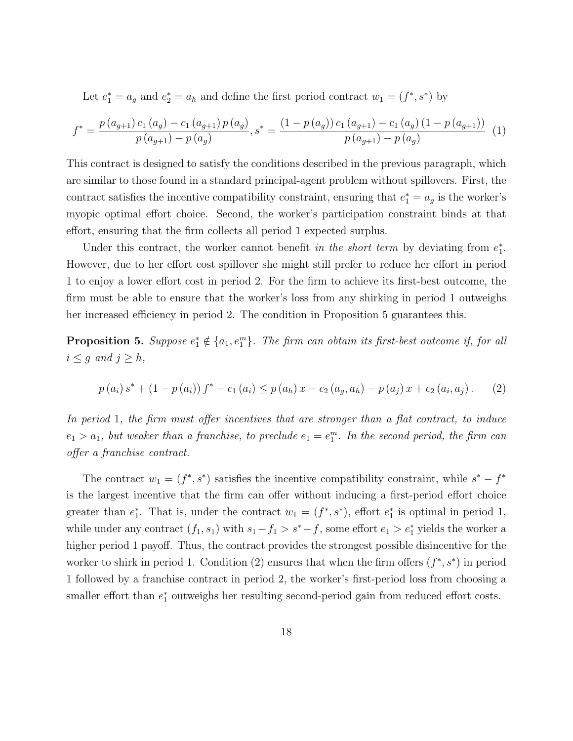Let  $e_1^* = a_g$  and  $e_2^* = a_h$  and define the first period contract  $w_1 = (f^*, s^*)$  by

$$
f^* = \frac{p(a_{g+1}) c_1(a_g) - c_1(a_{g+1}) p(a_g)}{p(a_{g+1}) - p(a_g)}, s^* = \frac{(1 - p(a_g)) c_1(a_{g+1}) - c_1(a_g) (1 - p(a_{g+1}))}{p(a_{g+1}) - p(a_g)}
$$
(1)

This contract is designed to satisfy the conditions described in the previous paragraph, which are similar to those found in a standard principal-agent problem without spillovers. First, the contract satisfies the incentive compatibility constraint, ensuring that  $e_1^* = a_g$  is the worker's myopic optimal effort choice. Second, the worker's participation constraint binds at that effort, ensuring that the firm collects all period 1 expected surplus.

Under this contract, the worker cannot benefit in the short term by deviating from  $e_1^*$ . However, due to her effort cost spillover she might still prefer to reduce her effort in period 1 to enjoy a lower effort cost in period 2. For the firm to achieve its first-best outcome, the firm must be able to ensure that the worker's loss from any shirking in period 1 outweighs her increased efficiency in period 2. The condition in Proposition 5 guarantees this.

**Proposition 5.** Suppose  $e_1^* \notin \{a_1, e_1^m\}$ . The firm can obtain its first-best outcome if, for all  $i \leq g$  and  $j \geq h$ ,

$$
p(a_i) s^* + (1 - p(a_i)) f^* - c_1(a_i) \leq p(a_h) x - c_2(a_g, a_h) - p(a_j) x + c_2(a_i, a_j).
$$
 (2)

In period 1, the firm must offer incentives that are stronger than a flat contract, to induce  $e_1 > a_1$ , but weaker than a franchise, to preclude  $e_1 = e_1^m$ . In the second period, the firm can offer a franchise contract.

The contract  $w_1 = (f^*, s^*)$  satisfies the incentive compatibility constraint, while  $s^* - f^*$ is the largest incentive that the firm can offer without inducing a first-period effort choice greater than  $e_1^*$ . That is, under the contract  $w_1 = (f^*, s^*)$ , effort  $e_1^*$  is optimal in period 1, while under any contract  $(f_1, s_1)$  with  $s_1 - f_1 > s^* - f$ , some effort  $e_1 > e_1^*$  yields the worker a higher period 1 payoff. Thus, the contract provides the strongest possible disincentive for the worker to shirk in period 1. Condition (2) ensures that when the firm offers  $(f^*, s^*)$  in period 1 followed by a franchise contract in period 2, the worker's first-period loss from choosing a smaller effort than  $e_1^*$  outweighs her resulting second-period gain from reduced effort costs.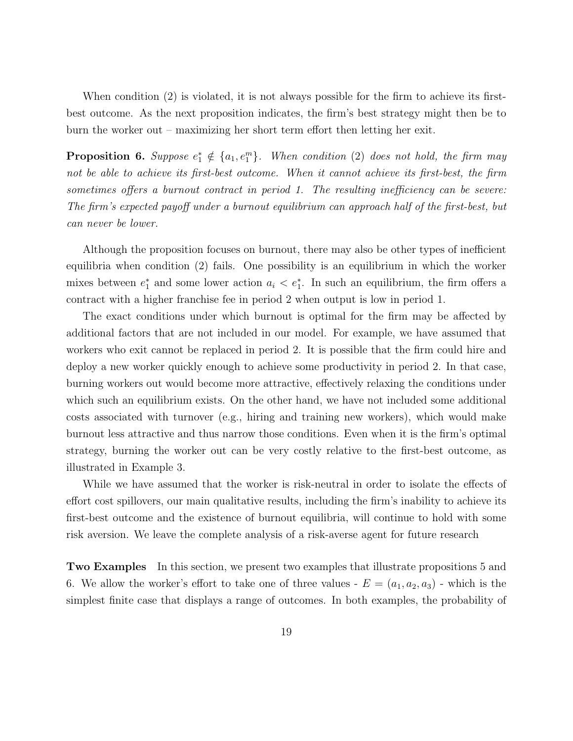When condition (2) is violated, it is not always possible for the firm to achieve its firstbest outcome. As the next proposition indicates, the firm's best strategy might then be to burn the worker out – maximizing her short term effort then letting her exit.

**Proposition 6.** Suppose  $e_1^* \notin \{a_1, e_1^m\}$ . When condition (2) does not hold, the firm may not be able to achieve its first-best outcome. When it cannot achieve its first-best, the firm sometimes offers a burnout contract in period 1. The resulting inefficiency can be severe: The firm's expected payoff under a burnout equilibrium can approach half of the first-best, but can never be lower.

Although the proposition focuses on burnout, there may also be other types of inefficient equilibria when condition (2) fails. One possibility is an equilibrium in which the worker mixes between  $e_1^*$  and some lower action  $a_i < e_1^*$ . In such an equilibrium, the firm offers a contract with a higher franchise fee in period 2 when output is low in period 1.

The exact conditions under which burnout is optimal for the firm may be affected by additional factors that are not included in our model. For example, we have assumed that workers who exit cannot be replaced in period 2. It is possible that the firm could hire and deploy a new worker quickly enough to achieve some productivity in period 2. In that case, burning workers out would become more attractive, effectively relaxing the conditions under which such an equilibrium exists. On the other hand, we have not included some additional costs associated with turnover (e.g., hiring and training new workers), which would make burnout less attractive and thus narrow those conditions. Even when it is the firm's optimal strategy, burning the worker out can be very costly relative to the first-best outcome, as illustrated in Example 3.

While we have assumed that the worker is risk-neutral in order to isolate the effects of effort cost spillovers, our main qualitative results, including the firm's inability to achieve its first-best outcome and the existence of burnout equilibria, will continue to hold with some risk aversion. We leave the complete analysis of a risk-averse agent for future research

Two Examples In this section, we present two examples that illustrate propositions 5 and 6. We allow the worker's effort to take one of three values -  $E = (a_1, a_2, a_3)$  - which is the simplest finite case that displays a range of outcomes. In both examples, the probability of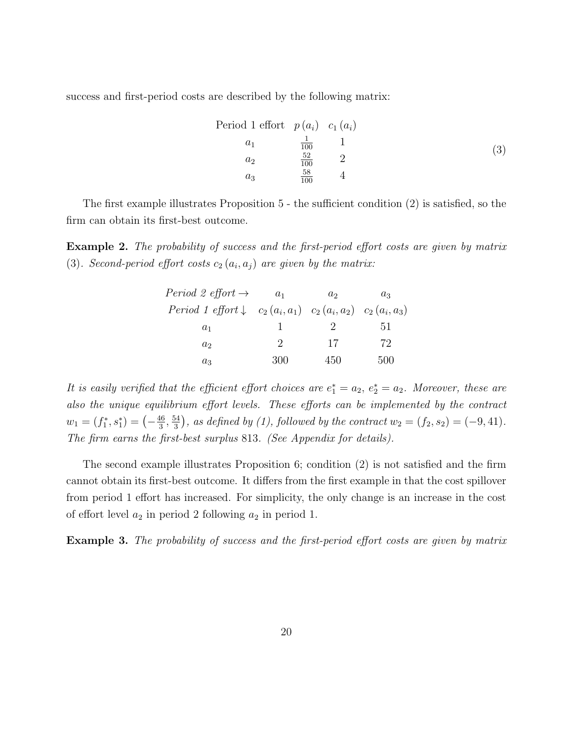success and first-period costs are described by the following matrix:

Period 1 effort 
$$
p(a_i)
$$
  $c_1(a_i)$   
\n $a_1$   $\frac{1}{100}$  1  
\n $a_2$   $\frac{52}{100}$  2  
\n $a_3$   $\frac{58}{100}$  4

The first example illustrates Proposition 5 - the sufficient condition (2) is satisfied, so the firm can obtain its first-best outcome.

Example 2. The probability of success and the first-period effort costs are given by matrix (3). Second-period effort costs  $c_2(a_i, a_j)$  are given by the matrix:

| <i>Period 2 effort</i> $\rightarrow$                                                | $a_1$         | a <sub>2</sub> | $a_3$ |
|-------------------------------------------------------------------------------------|---------------|----------------|-------|
| <i>Period 1 effort</i> $\downarrow$ $c_2(a_i, a_1)$ $c_2(a_i, a_2)$ $c_2(a_i, a_3)$ |               |                |       |
| $a_1$                                                                               |               |                | 5 L   |
| $a_2$                                                                               | $\mathcal{L}$ | 17             | 72    |
| $a_3$                                                                               | 300           | 450            | 500   |

It is easily verified that the efficient effort choices are  $e_1^* = a_2, e_2^* = a_2$ . Moreover, these are also the unique equilibrium effort levels. These efforts can be implemented by the contract  $w_1 = (f_1^*, s_1^*) = \left(-\frac{46}{3}\right)$  $\frac{16}{3}, \frac{54}{3}$  $\frac{34}{3}$ , as defined by (1), followed by the contract  $w_2 = (f_2, s_2) = (-9, 41)$ . The firm earns the first-best surplus 813. (See Appendix for details).

The second example illustrates Proposition 6; condition (2) is not satisfied and the firm cannot obtain its first-best outcome. It differs from the first example in that the cost spillover from period 1 effort has increased. For simplicity, the only change is an increase in the cost of effort level  $a_2$  in period 2 following  $a_2$  in period 1.

Example 3. The probability of success and the first-period effort costs are given by matrix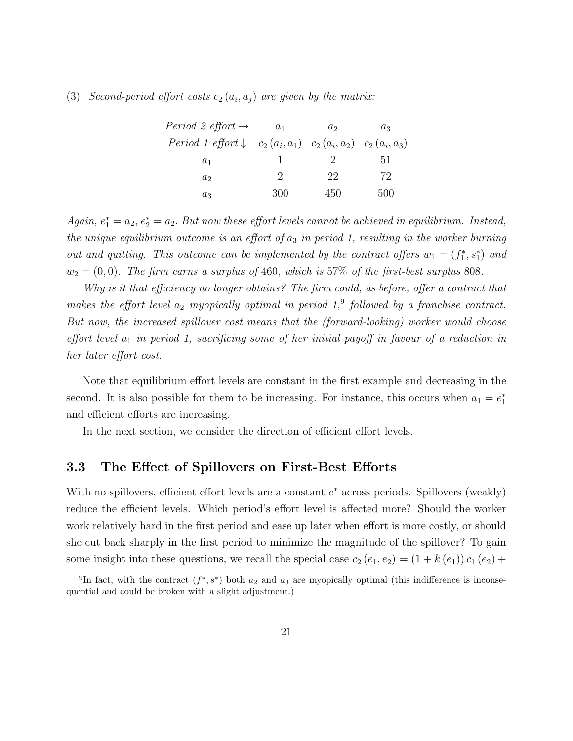(3). Second-period effort costs  $c_2(a_i, a_j)$  are given by the matrix:

| <i>Period 2 effort</i> $\rightarrow$                                         | $a_1$         | a <sub>2</sub> | $a_3$ |
|------------------------------------------------------------------------------|---------------|----------------|-------|
| Period 1 effort $\downarrow$ $c_2(a_i, a_1)$ $c_2(a_i, a_2)$ $c_2(a_i, a_3)$ |               |                |       |
| $a_1$                                                                        |               |                | 5T.   |
| a <sub>2</sub>                                                               | $\mathcal{D}$ | 22             | 72    |
| $a_3$                                                                        | 300           | 450            | 500   |

Again,  $e_1^* = a_2, e_2^* = a_2$ . But now these effort levels cannot be achieved in equilibrium. Instead, the unique equilibrium outcome is an effort of  $a_3$  in period 1, resulting in the worker burning out and quitting. This outcome can be implemented by the contract offers  $w_1 = (f_1^*, s_1^*)$  and  $w_2 = (0, 0)$ . The firm earns a surplus of 460, which is 57% of the first-best surplus 808.

Why is it that efficiency no longer obtains? The firm could, as before, offer a contract that makes the effort level  $a_2$  myopically optimal in period  $1$ ,<sup>9</sup> followed by a franchise contract. But now, the increased spillover cost means that the (forward-looking) worker would choose effort level  $a_1$  in period 1, sacrificing some of her initial payoff in favour of a reduction in her later effort cost.

Note that equilibrium effort levels are constant in the first example and decreasing in the second. It is also possible for them to be increasing. For instance, this occurs when  $a_1 = e_1^*$ and efficient efforts are increasing.

In the next section, we consider the direction of efficient effort levels.

## 3.3 The Effect of Spillovers on First-Best Efforts

With no spillovers, efficient effort levels are a constant  $e^*$  across periods. Spillovers (weakly) reduce the efficient levels. Which period's effort level is affected more? Should the worker work relatively hard in the first period and ease up later when effort is more costly, or should she cut back sharply in the first period to minimize the magnitude of the spillover? To gain some insight into these questions, we recall the special case  $c_2(e_1, e_2) = (1 + k(e_1)) c_1(e_2) +$ 

<sup>&</sup>lt;sup>9</sup>In fact, with the contract  $(f^*, s^*)$  both  $a_2$  and  $a_3$  are myopically optimal (this indifference is inconsequential and could be broken with a slight adjustment.)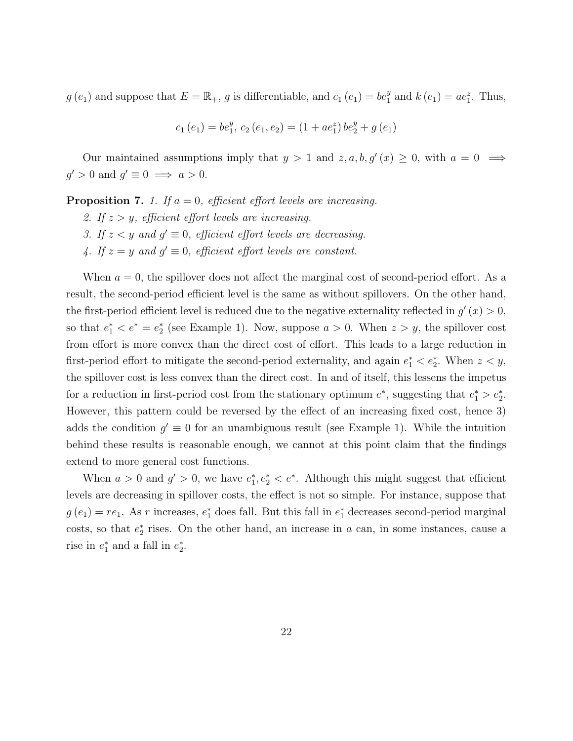$g(e_1)$  and suppose that  $E = \mathbb{R}_+$ , g is differentiable, and  $c_1(e_1) = be_1^y$  and  $k(e_1) = ae_1^z$ . Thus,

$$
c_1(e_1) = be_1^y, c_2(e_1, e_2) = (1 + ae_1^z) be_2^y + g(e_1)
$$

Our maintained assumptions imply that  $y > 1$  and  $z, a, b, g'(x) \geq 0$ , with  $a = 0 \implies$  $g' > 0$  and  $g' \equiv 0 \implies a > 0$ .

**Proposition 7.** 1. If  $a = 0$ , efficient effort levels are increasing.

- 2. If  $z > y$ , efficient effort levels are increasing.
- 3. If  $z < y$  and  $g' \equiv 0$ , efficient effort levels are decreasing.
- 4. If  $z = y$  and  $g' \equiv 0$ , efficient effort levels are constant.

When  $a = 0$ , the spillover does not affect the marginal cost of second-period effort. As a result, the second-period efficient level is the same as without spillovers. On the other hand, the first-period efficient level is reduced due to the negative externality reflected in  $g'(x) > 0$ , so that  $e_1^* < e^* = e_2^*$  (see Example 1). Now, suppose  $a > 0$ . When  $z > y$ , the spillover cost from effort is more convex than the direct cost of effort. This leads to a large reduction in first-period effort to mitigate the second-period externality, and again  $e_1^* < e_2^*$ . When  $z < y$ , the spillover cost is less convex than the direct cost. In and of itself, this lessens the impetus for a reduction in first-period cost from the stationary optimum  $e^*$ , suggesting that  $e_1^* > e_2^*$ . However, this pattern could be reversed by the effect of an increasing fixed cost, hence 3) adds the condition  $g' \equiv 0$  for an unambiguous result (see Example 1). While the intuition behind these results is reasonable enough, we cannot at this point claim that the findings extend to more general cost functions.

When  $a > 0$  and  $g' > 0$ , we have  $e_1^*, e_2^* < e^*$ . Although this might suggest that efficient levels are decreasing in spillover costs, the effect is not so simple. For instance, suppose that  $g(e_1) = re_1$ . As r increases,  $e_1^*$  does fall. But this fall in  $e_1^*$  decreases second-period marginal costs, so that  $e_2^*$  rises. On the other hand, an increase in  $a$  can, in some instances, cause a rise in  $e_1^*$  and a fall in  $e_2^*$ .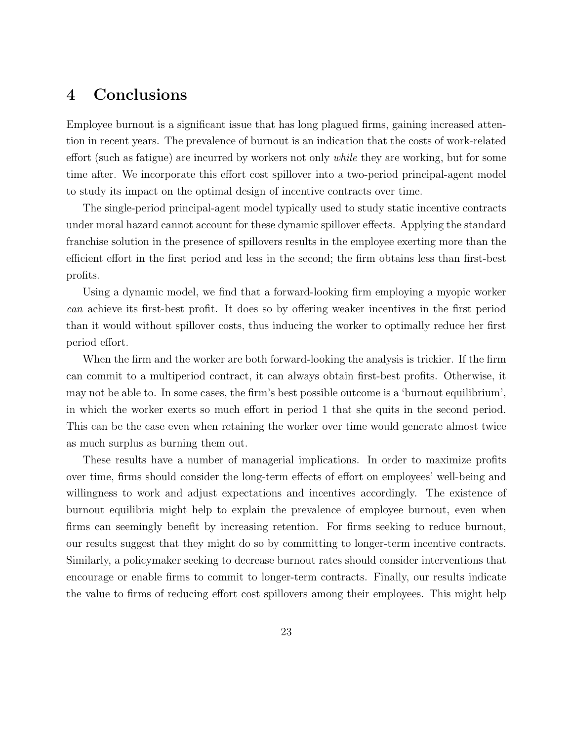# 4 Conclusions

Employee burnout is a significant issue that has long plagued firms, gaining increased attention in recent years. The prevalence of burnout is an indication that the costs of work-related effort (such as fatigue) are incurred by workers not only *while* they are working, but for some time after. We incorporate this effort cost spillover into a two-period principal-agent model to study its impact on the optimal design of incentive contracts over time.

The single-period principal-agent model typically used to study static incentive contracts under moral hazard cannot account for these dynamic spillover effects. Applying the standard franchise solution in the presence of spillovers results in the employee exerting more than the efficient effort in the first period and less in the second; the firm obtains less than first-best profits.

Using a dynamic model, we find that a forward-looking firm employing a myopic worker can achieve its first-best profit. It does so by offering weaker incentives in the first period than it would without spillover costs, thus inducing the worker to optimally reduce her first period effort.

When the firm and the worker are both forward-looking the analysis is trickier. If the firm can commit to a multiperiod contract, it can always obtain first-best profits. Otherwise, it may not be able to. In some cases, the firm's best possible outcome is a 'burnout equilibrium', in which the worker exerts so much effort in period 1 that she quits in the second period. This can be the case even when retaining the worker over time would generate almost twice as much surplus as burning them out.

These results have a number of managerial implications. In order to maximize profits over time, firms should consider the long-term effects of effort on employees' well-being and willingness to work and adjust expectations and incentives accordingly. The existence of burnout equilibria might help to explain the prevalence of employee burnout, even when firms can seemingly benefit by increasing retention. For firms seeking to reduce burnout, our results suggest that they might do so by committing to longer-term incentive contracts. Similarly, a policymaker seeking to decrease burnout rates should consider interventions that encourage or enable firms to commit to longer-term contracts. Finally, our results indicate the value to firms of reducing effort cost spillovers among their employees. This might help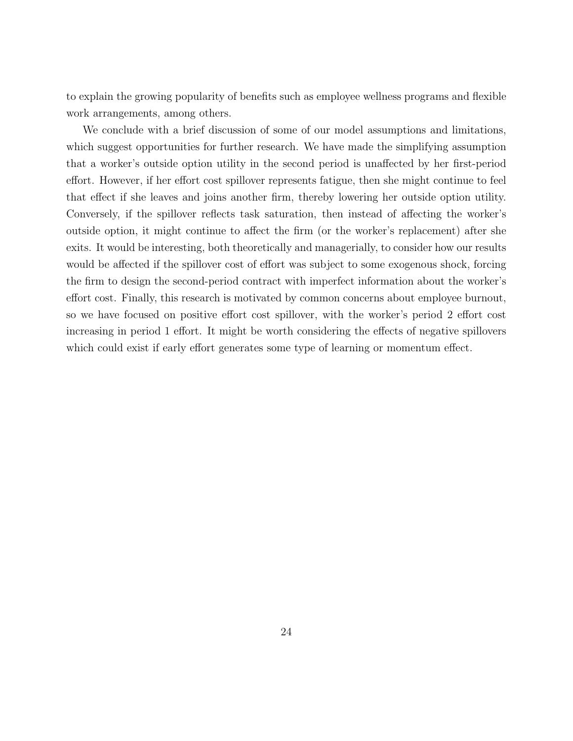to explain the growing popularity of benefits such as employee wellness programs and flexible work arrangements, among others.

We conclude with a brief discussion of some of our model assumptions and limitations, which suggest opportunities for further research. We have made the simplifying assumption that a worker's outside option utility in the second period is unaffected by her first-period effort. However, if her effort cost spillover represents fatigue, then she might continue to feel that effect if she leaves and joins another firm, thereby lowering her outside option utility. Conversely, if the spillover reflects task saturation, then instead of affecting the worker's outside option, it might continue to affect the firm (or the worker's replacement) after she exits. It would be interesting, both theoretically and managerially, to consider how our results would be affected if the spillover cost of effort was subject to some exogenous shock, forcing the firm to design the second-period contract with imperfect information about the worker's effort cost. Finally, this research is motivated by common concerns about employee burnout, so we have focused on positive effort cost spillover, with the worker's period 2 effort cost increasing in period 1 effort. It might be worth considering the effects of negative spillovers which could exist if early effort generates some type of learning or momentum effect.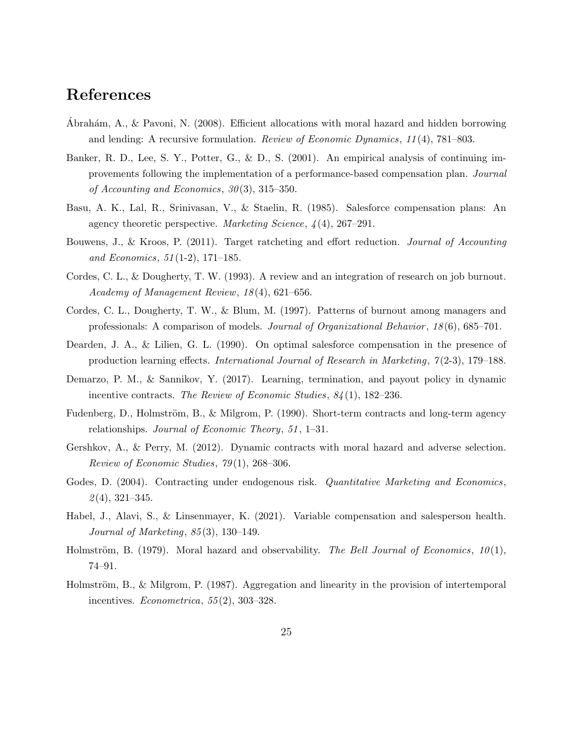# References

- Abrahám, A., & Pavoni, N. (2008). Efficient allocations with moral hazard and hidden borrowing and lending: A recursive formulation. Review of Economic Dynamics, 11 (4), 781–803.
- Banker, R. D., Lee, S. Y., Potter, G., & D., S. (2001). An empirical analysis of continuing improvements following the implementation of a performance-based compensation plan. Journal of Accounting and Economics,  $30(3)$ ,  $315-350$ .
- Basu, A. K., Lal, R., Srinivasan, V., & Staelin, R. (1985). Salesforce compensation plans: An agency theoretic perspective. Marketing Science, 4 (4), 267–291.
- Bouwens, J., & Kroos, P. (2011). Target ratcheting and effort reduction. Journal of Accounting and Economics, 51 (1-2), 171–185.
- Cordes, C. L., & Dougherty, T. W. (1993). A review and an integration of research on job burnout. Academy of Management Review, 18 (4), 621–656.
- Cordes, C. L., Dougherty, T. W., & Blum, M. (1997). Patterns of burnout among managers and professionals: A comparison of models. Journal of Organizational Behavior , 18 (6), 685–701.
- Dearden, J. A., & Lilien, G. L. (1990). On optimal salesforce compensation in the presence of production learning effects. *International Journal of Research in Marketing*,  $7(2-3)$ , 179–188.
- Demarzo, P. M., & Sannikov, Y. (2017). Learning, termination, and payout policy in dynamic incentive contracts. The Review of Economic Studies,  $84(1)$ , 182–236.
- Fudenberg, D., Holmström, B., & Milgrom, P. (1990). Short-term contracts and long-term agency relationships. Journal of Economic Theory, 51 , 1–31.
- Gershkov, A., & Perry, M. (2012). Dynamic contracts with moral hazard and adverse selection. Review of Economic Studies, 79 (1), 268–306.
- Godes, D. (2004). Contracting under endogenous risk. *Quantitative Marketing and Economics*,  $\mathcal{Q}(4)$ , 321–345.
- Habel, J., Alavi, S., & Linsenmayer, K. (2021). Variable compensation and salesperson health. Journal of Marketing, 85 (3), 130–149.
- Holmström, B. (1979). Moral hazard and observability. The Bell Journal of Economics,  $10(1)$ , 74–91.
- Holmström, B., & Milgrom, P.  $(1987)$ . Aggregation and linearity in the provision of intertemporal incentives.  $Econometrica, 55(2), 303-328.$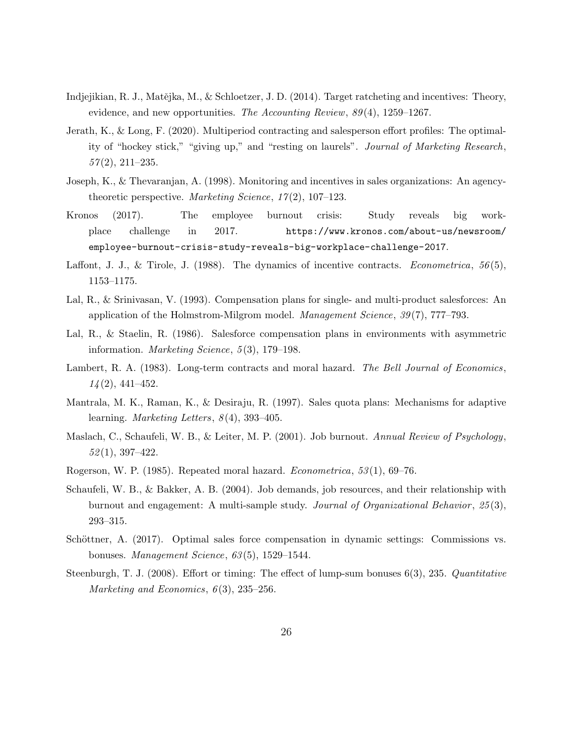- Indjejikian, R. J., Matějka, M., & Schloetzer, J. D. (2014). Target ratcheting and incentives: Theory, evidence, and new opportunities. The Accounting Review,  $89(4)$ , 1259–1267.
- Jerath, K., & Long, F. (2020). Multiperiod contracting and salesperson effort profiles: The optimality of "hockey stick," "giving up," and "resting on laurels". Journal of Marketing Research,  $57(2), 211-235.$
- Joseph, K., & Thevaranjan, A. (1998). Monitoring and incentives in sales organizations: An agencytheoretic perspective. Marketing Science,  $17(2)$ , 107–123.
- Kronos (2017). The employee burnout crisis: Study reveals big workplace challenge in 2017. https://www.kronos.com/about-us/newsroom/ employee-burnout-crisis-study-reveals-big-workplace-challenge-2017.
- Laffont, J. J., & Tirole, J. (1988). The dynamics of incentive contracts. Econometrica,  $56(5)$ , 1153–1175.
- Lal, R., & Srinivasan, V. (1993). Compensation plans for single- and multi-product salesforces: An application of the Holmstrom-Milgrom model. *Management Science*, 39(7), 777–793.
- Lal, R., & Staelin, R. (1986). Salesforce compensation plans in environments with asymmetric information. *Marketing Science*, 5(3), 179–198.
- Lambert, R. A. (1983). Long-term contracts and moral hazard. The Bell Journal of Economics,  $14(2)$ , 441–452.
- Mantrala, M. K., Raman, K., & Desiraju, R. (1997). Sales quota plans: Mechanisms for adaptive learning. *Marketing Letters*,  $8(4)$ , 393-405.
- Maslach, C., Schaufeli, W. B., & Leiter, M. P. (2001). Job burnout. Annual Review of Psychology,  $52(1), 397-422.$
- Rogerson, W. P. (1985). Repeated moral hazard. Econometrica, 53 (1), 69–76.
- Schaufeli, W. B., & Bakker, A. B. (2004). Job demands, job resources, and their relationship with burnout and engagement: A multi-sample study. *Journal of Organizational Behavior*,  $25(3)$ , 293–315.
- Schöttner, A. (2017). Optimal sales force compensation in dynamic settings: Commissions vs. bonuses. Management Science, 63 (5), 1529–1544.
- Steenburgh, T. J. (2008). Effort or timing: The effect of lump-sum bonuses 6(3), 235. Quantitative Marketing and Economics,  $6(3)$ ,  $235-256$ .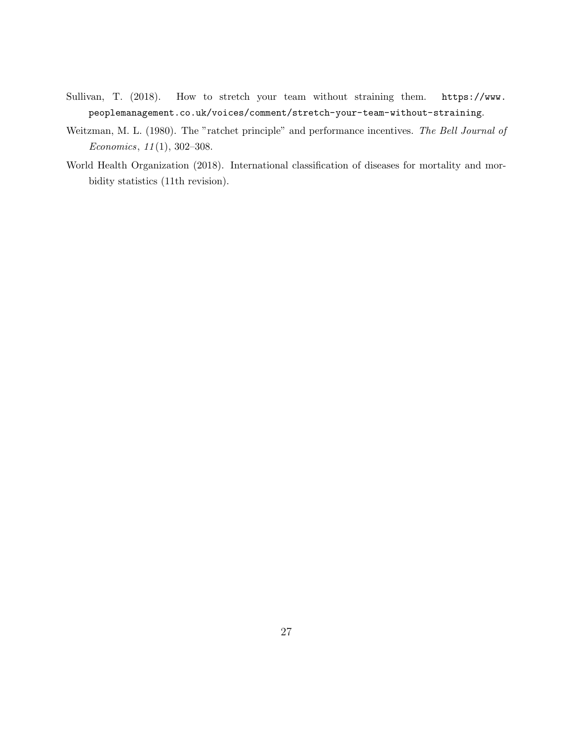- Sullivan, T. (2018). How to stretch your team without straining them. https://www. peoplemanagement.co.uk/voices/comment/stretch-your-team-without-straining.
- Weitzman, M. L. (1980). The "ratchet principle" and performance incentives. The Bell Journal of Economics, 11 (1), 302–308.
- World Health Organization (2018). International classification of diseases for mortality and morbidity statistics (11th revision).